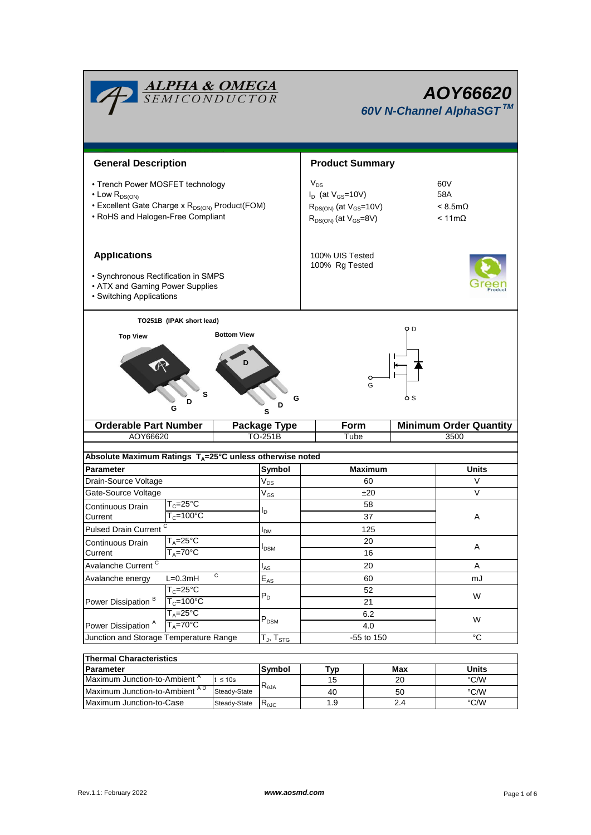

| $\overline{\phantom{a}}$ ligi ulialautelistius |              |            |     |     |       |  |  |  |  |  |
|------------------------------------------------|--------------|------------|-----|-----|-------|--|--|--|--|--|
| <b>IParameter</b>                              |              | Svmbol     | Tvo | Max | Units |  |  |  |  |  |
| Maximum Junction-to-Ambient <sup>"</sup>       | ≤ 10s        | $R_{0,IA}$ | ט ו | 20  | °C/W  |  |  |  |  |  |
| Maximum Junction-to-Ambient AD                 | Steady-State |            | 40  | 50  | °C/W  |  |  |  |  |  |
| Maximum Junction-to-Case                       | Steady-State | ৲⊕JC       |     |     | °C/W  |  |  |  |  |  |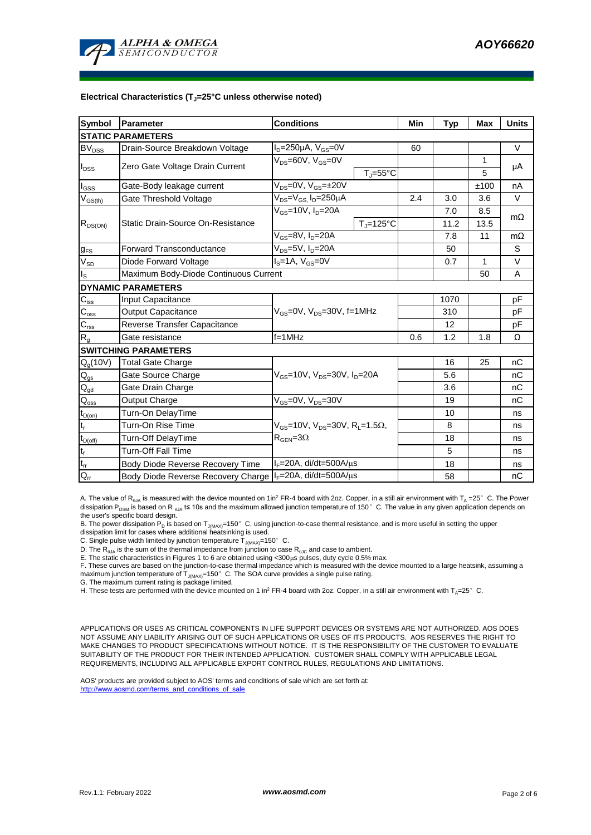

## **Electrical Characteristics (TJ=25°C unless otherwise noted)**

| <b>Symbol</b>            | Parameter                                                  | <b>Conditions</b>                                            |     | <b>Typ</b> | <b>Max</b>   | <b>Units</b> |  |  |  |  |
|--------------------------|------------------------------------------------------------|--------------------------------------------------------------|-----|------------|--------------|--------------|--|--|--|--|
| <b>STATIC PARAMETERS</b> |                                                            |                                                              |     |            |              |              |  |  |  |  |
| <b>BV</b> <sub>DSS</sub> | Drain-Source Breakdown Voltage                             | $I_D = 250 \mu A$ , $V_{GS} = 0V$                            | 60  |            |              | $\vee$       |  |  |  |  |
| $I_{\text{DSS}}$         | Zero Gate Voltage Drain Current                            | $V_{DS} = 60V$ , $V_{GS} = 0V$                               |     |            | $\mathbf{1}$ | μA           |  |  |  |  |
|                          |                                                            | $T_{J} = 55^{\circ}C$                                        |     |            | 5            |              |  |  |  |  |
| $I_{GSS}$                | Gate-Body leakage current                                  | $V_{DS} = 0V$ , $V_{GS} = \pm 20V$                           |     |            | ±100         | nA           |  |  |  |  |
| $V_{GS(th)}$             | Gate Threshold Voltage                                     | $V_{DS} = V_{GS}$ , $I_D = 250 \mu A$                        | 2.4 | 3.0        | 3.6          | $\vee$       |  |  |  |  |
| $R_{DS(ON)}$             | Static Drain-Source On-Resistance                          | $V_{GS}$ =10V, $I_D$ =20A                                    |     | 7.0        | 8.5          | $m\Omega$    |  |  |  |  |
|                          |                                                            | $T_J = 125$ °C                                               |     | 11.2       | 13.5         |              |  |  |  |  |
|                          |                                                            | $V_{GS}$ =8V, $I_D$ =20A                                     |     | 7.8        | 11           | $m\Omega$    |  |  |  |  |
| $g_{FS}$                 | <b>Forward Transconductance</b>                            | $V_{DS} = 5V$ , $I_D = 20A$                                  |     | 50         |              | S            |  |  |  |  |
| $V_{SD}$                 | Diode Forward Voltage                                      | $IS=1A, VGS=0V$                                              |     | 0.7        | $\mathbf{1}$ | $\vee$       |  |  |  |  |
| $I_{\rm S}$              | Maximum Body-Diode Continuous Current                      |                                                              |     | 50         | A            |              |  |  |  |  |
|                          | <b>DYNAMIC PARAMETERS</b>                                  |                                                              |     |            |              |              |  |  |  |  |
| $C_{\text{iss}}$         | Input Capacitance                                          |                                                              |     | 1070       |              | pF           |  |  |  |  |
| $C_{\rm oss}$            | <b>Output Capacitance</b>                                  | $V_{GS}$ =0V, $V_{DS}$ =30V, f=1MHz                          |     | 310        |              | рF           |  |  |  |  |
| $C_{\rm rss}$            | Reverse Transfer Capacitance                               |                                                              |     | 12         |              | pF           |  |  |  |  |
| R <sub>g</sub>           | Gate resistance                                            | $f = 1$ MHz                                                  | 0.6 | 1.2        | 1.8          | Ω            |  |  |  |  |
|                          | <b>SWITCHING PARAMETERS</b>                                |                                                              |     |            |              |              |  |  |  |  |
| $Q_g(10V)$               | <b>Total Gate Charge</b>                                   |                                                              |     | 16         | 25           | nC           |  |  |  |  |
| $Q_{gs}$                 | Gate Source Charge                                         | $V_{GS}$ =10V, $V_{DS}$ =30V, $I_{D}$ =20A                   |     | 5.6        |              | nC           |  |  |  |  |
| $Q_{gd}$                 | Gate Drain Charge                                          |                                                              |     | 3.6        |              | nC           |  |  |  |  |
| $Q_{\rm oss}$            | Output Charge                                              | $V_{GS}$ =0V, $V_{DS}$ =30V                                  |     | 19         |              | nC           |  |  |  |  |
| $t_{D(on)}$              | Turn-On DelayTime                                          |                                                              |     | 10         |              | ns           |  |  |  |  |
| t,                       | Turn-On Rise Time                                          | $V_{GS}$ =10V, $V_{DS}$ =30V, R <sub>1</sub> =1.5 $\Omega$ , |     | 8          |              | ns           |  |  |  |  |
| $t_{D(\text{off})}$      | Turn-Off DelayTime                                         | $R_{\text{GEN}} = 3\Omega$                                   |     | 18         |              | ns           |  |  |  |  |
| $t_f$                    | <b>Turn-Off Fall Time</b>                                  |                                                              |     | 5          |              | ns           |  |  |  |  |
| $t_{rr}$                 | Body Diode Reverse Recovery Time                           | $I_F = 20A$ , di/dt=500A/ $\mu$ s                            |     | 18         |              | ns           |  |  |  |  |
| $Q_{rr}$                 | Body Diode Reverse Recovery Charge   IF=20A, di/dt=500A/µs |                                                              |     | 58         |              | nC           |  |  |  |  |

A. The value of R<sub>ala</sub> is measured with the device mounted on 1in<sup>2</sup> FR-4 board with 2oz. Copper, in a still air environment with T<sub>a</sub> =25°C. The Power dissipation P<sub>pear</sub> is based on R<sub>ala</sub>t≤ 10s and the maximum allowed junction temperature of 150°C. The value in any given application depends on the user's specific board design.

B. The power dissipation P<sub>D</sub> is based on T<sub>J(MAX)</sub>=150°C, using junction-to-case thermal resistance, and is more useful in setting the upper<br>dissipation limit for cases where additional heatsinking is used.

C. Single pulse width limited by junction temperature  $\overline{T}_{J(MAX)}$ =150°C.

D. The  $R_{a_1a}$  is the sum of the thermal impedance from junction to case  $R_{a_1c}$  and case to ambient.

E. The static characteristics in Figures 1 to 6 are obtained using <300μs pulses, duty cycle 0.5% max.<br>F. These curves are based on the junction-to-case thermal impedance which is measured with the device mounted to a lar maximum junction temperature of  $T_{J(MAX)}$ =150 $^{\circ}$  C. The SOA curve provides a single pulse rating.

G. The maximum current rating is package limited.

H. These tests are performed with the device mounted on 1 in<sup>2</sup> FR-4 board with 2oz. Copper, in a still air environment with  $T_A=25^\circ$  C.

APPLICATIONS OR USES AS CRITICAL COMPONENTS IN LIFE SUPPORT DEVICES OR SYSTEMS ARE NOT AUTHORIZED. AOS DOES NOT ASSUME ANY LIABILITY ARISING OUT OF SUCH APPLICATIONS OR USES OF ITS PRODUCTS. AOS RESERVES THE RIGHT TO MAKE CHANGES TO PRODUCT SPECIFICATIONS WITHOUT NOTICE. IT IS THE RESPONSIBILITY OF THE CUSTOMER TO EVALUATE SUITABILITY OF THE PRODUCT FOR THEIR INTENDED APPLICATION. CUSTOMER SHALL COMPLY WITH APPLICABLE LEGAL REQUIREMENTS, INCLUDING ALL APPLICABLE EXPORT CONTROL RULES, REGULATIONS AND LIMITATIONS.

AOS' products are provided subject to AOS' terms and conditions of sale which are set forth at: http://www.aosmd.com/terms\_and\_conditions\_of\_sale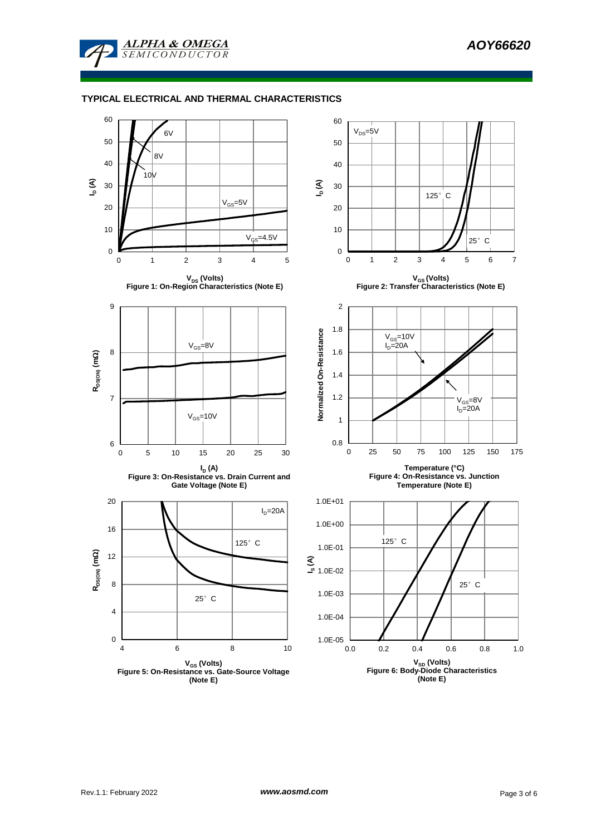

**ALPHA & OMEGA SEMICONDUCTOR** 

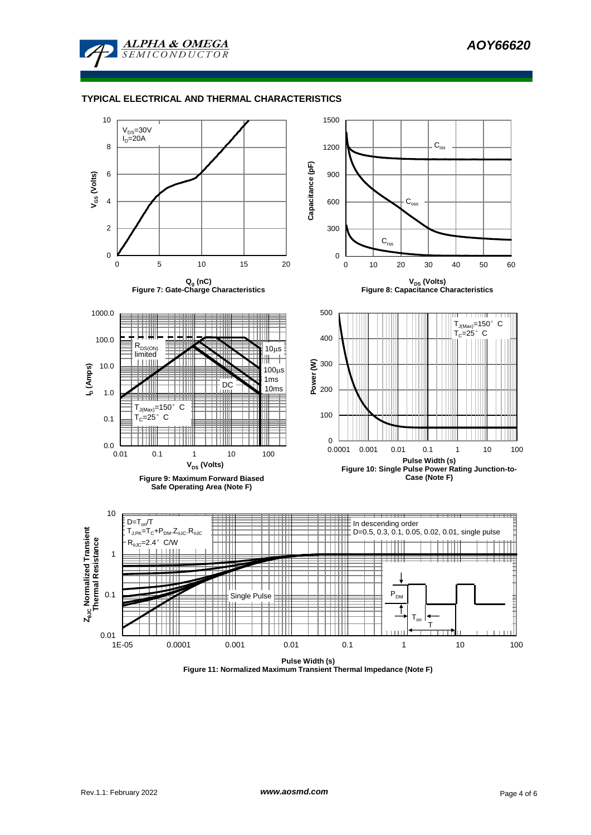

## **TYPICAL ELECTRICAL AND THERMAL CHARACTERISTICS**



**Figure 11: Normalized Maximum Transient Thermal Impedance (Note F)**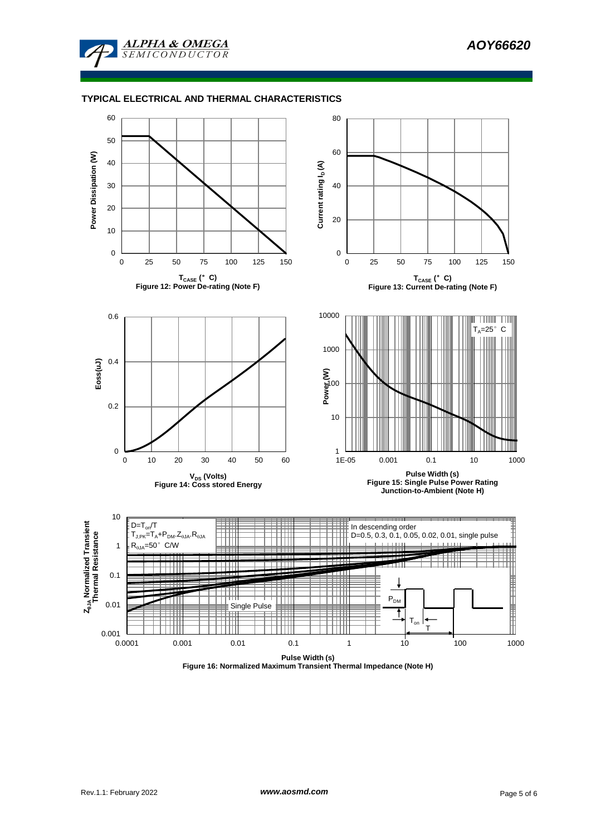

## **TYPICAL ELECTRICAL AND THERMAL CHARACTERISTICS**



**Figure 16: Normalized Maximum Transient Thermal Impedance (Note H)**